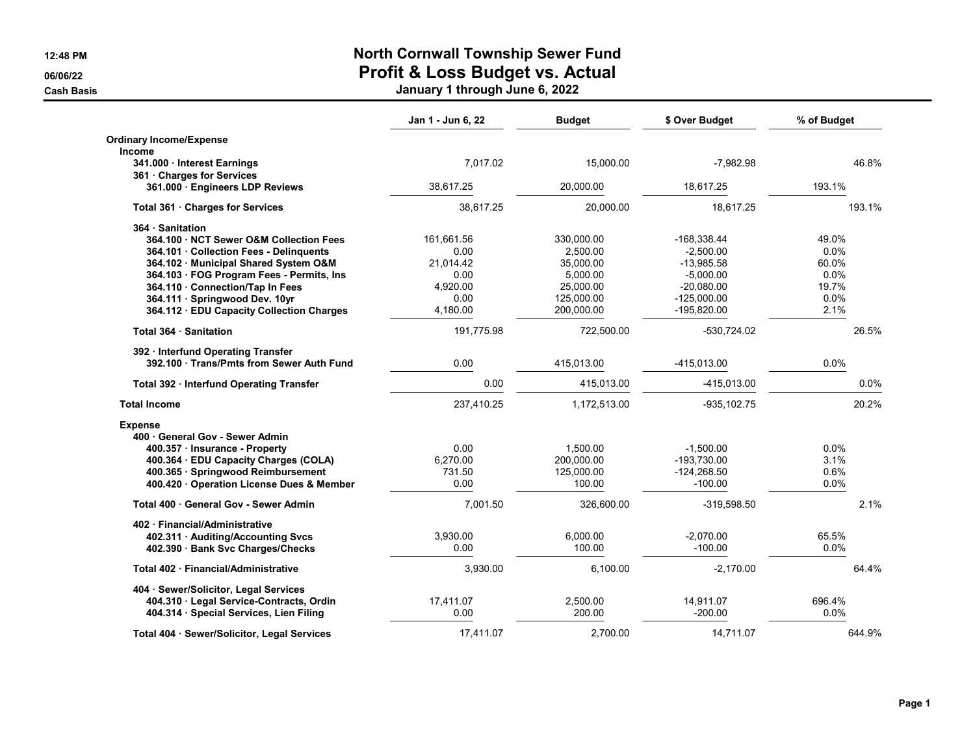## **12:48 PM North Cornwall Township Sewer Fund 06/06/22 Profit & Loss Budget vs. Actual**

**Cash Basis January 1 through June 6, 2022**

|                                             | Jan 1 - Jun 6, 22 | <b>Budget</b> | \$ Over Budget | % of Budget |         |
|---------------------------------------------|-------------------|---------------|----------------|-------------|---------|
| <b>Ordinary Income/Expense</b>              |                   |               |                |             |         |
| <b>Income</b>                               |                   |               |                |             |         |
| 341.000 - Interest Earnings                 | 7,017.02          | 15,000.00     | $-7,982.98$    |             | 46.8%   |
| 361 Charges for Services                    |                   |               |                |             |         |
| 361.000 · Engineers LDP Reviews             | 38.617.25         | 20.000.00     | 18.617.25      | 193.1%      |         |
| Total 361 Charges for Services              | 38,617.25         | 20,000.00     | 18,617.25      | 193.1%      |         |
| 364 Sanitation                              |                   |               |                |             |         |
| 364.100 NCT Sewer O&M Collection Fees       | 161,661.56        | 330,000.00    | -168,338.44    | 49.0%       |         |
| 364.101 Collection Fees - Delinquents       | 0.00              | 2.500.00      | $-2,500.00$    | 0.0%        |         |
| 364.102 Municipal Shared System O&M         | 21.014.42         | 35.000.00     | -13.985.58     | 60.0%       |         |
| 364.103 · FOG Program Fees - Permits, Ins   | 0.00              | 5,000.00      | $-5,000.00$    | 0.0%        |         |
| 364.110 Connection/Tap In Fees              | 4,920.00          | 25,000.00     | $-20,080.00$   | 19.7%       |         |
| 364.111 · Springwood Dev. 10yr              | 0.00              | 125,000.00    | $-125,000.00$  | 0.0%        |         |
| 364.112 · EDU Capacity Collection Charges   | 4,180.00          | 200,000.00    | -195,820.00    | 2.1%        |         |
| Total 364 Sanitation                        | 191,775.98        | 722,500.00    | -530,724.02    |             | 26.5%   |
| 392 · Interfund Operating Transfer          |                   |               |                |             |         |
| 392.100 · Trans/Pmts from Sewer Auth Fund   | 0.00              | 415,013.00    | -415,013.00    | 0.0%        |         |
| Total 392 · Interfund Operating Transfer    | 0.00              | 415,013.00    | -415,013.00    |             | $0.0\%$ |
| <b>Total Income</b>                         | 237,410.25        | 1,172,513.00  | $-935, 102.75$ |             | 20.2%   |
| <b>Expense</b>                              |                   |               |                |             |         |
| 400 · General Gov - Sewer Admin             |                   |               |                |             |         |
| 400.357 · Insurance - Property              | 0.00              | 1.500.00      | $-1,500.00$    | $0.0\%$     |         |
| 400.364 · EDU Capacity Charges (COLA)       | 6,270.00          | 200,000.00    | -193,730.00    | 3.1%        |         |
| 400.365 · Springwood Reimbursement          | 731.50            | 125,000.00    | $-124,268.50$  | 0.6%        |         |
| 400.420 · Operation License Dues & Member   | 0.00              | 100.00        | $-100.00$      | $0.0\%$     |         |
| Total 400 General Gov - Sewer Admin         | 7,001.50          | 326,600.00    | $-319,598.50$  |             | 2.1%    |
| 402 · Financial/Administrative              |                   |               |                |             |         |
| 402.311 · Auditing/Accounting Svcs          | 3,930.00          | 6,000.00      | $-2,070.00$    | 65.5%       |         |
| 402.390 · Bank Svc Charges/Checks           | 0.00              | 100.00        | $-100.00$      | 0.0%        |         |
| Total 402 Financial/Administrative          | 3,930.00          | 6,100.00      | $-2,170.00$    |             | 64.4%   |
| 404 · Sewer/Solicitor, Legal Services       |                   |               |                |             |         |
| 404.310 · Legal Service-Contracts, Ordin    | 17,411.07         | 2,500.00      | 14,911.07      | 696.4%      |         |
| 404.314 · Special Services, Lien Filing     | 0.00              | 200.00        | $-200.00$      | 0.0%        |         |
| Total 404 · Sewer/Solicitor, Legal Services | 17.411.07         | 2,700.00      | 14,711.07      | 644.9%      |         |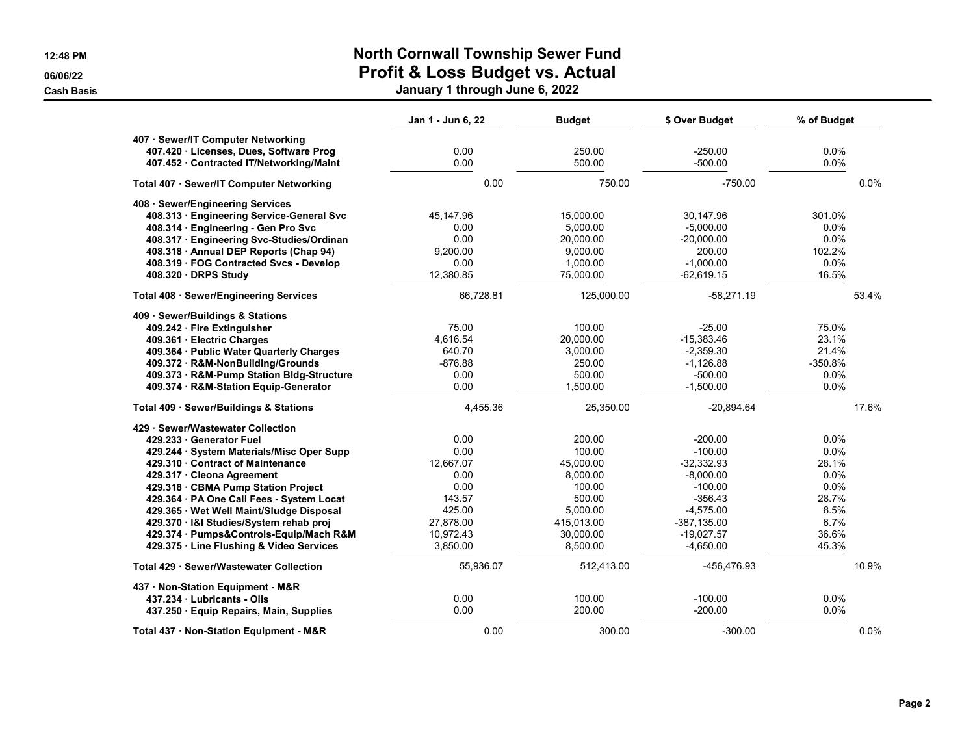## **12:48 PM North Cornwall Township Sewer Fund 06/06/22 Profit & Loss Budget vs. Actual**

**Cash Basis January 1 through June 6, 2022**

|                                                                               | Jan 1 - Jun 6, 22 | <b>Budget</b> | \$ Over Budget | % of Budget |       |
|-------------------------------------------------------------------------------|-------------------|---------------|----------------|-------------|-------|
| 407 · Sewer/IT Computer Networking<br>407.420 · Licenses, Dues, Software Prog | 0.00              | 250.00        | $-250.00$      | 0.0%        |       |
| 407.452 · Contracted IT/Networking/Maint                                      | 0.00              | 500.00        | $-500.00$      | 0.0%        |       |
| Total 407 · Sewer/IT Computer Networking                                      | 0.00              | 750.00        | $-750.00$      |             | 0.0%  |
| 408 · Sewer/Engineering Services                                              |                   |               |                |             |       |
| 408.313 · Engineering Service-General Svc                                     | 45,147.96         | 15,000.00     | 30,147.96      | 301.0%      |       |
| 408.314 · Engineering - Gen Pro Svc                                           | 0.00              | 5,000.00      | $-5.000.00$    | 0.0%        |       |
| 408.317 · Engineering Svc-Studies/Ordinan                                     | 0.00              | 20,000.00     | $-20,000.00$   | 0.0%        |       |
| 408.318 • Annual DEP Reports (Chap 94)                                        | 9,200.00          | 9,000.00      | 200.00         | 102.2%      |       |
| 408.319 · FOG Contracted Svcs - Develop                                       | 0.00              | 1,000.00      | $-1,000.00$    | 0.0%        |       |
| 408.320 DRPS Study                                                            | 12,380.85         | 75,000.00     | $-62,619.15$   | 16.5%       |       |
| Total 408 · Sewer/Engineering Services                                        | 66,728.81         | 125,000.00    | $-58,271.19$   |             | 53.4% |
| 409 · Sewer/Buildings & Stations                                              |                   |               |                |             |       |
| 409.242 · Fire Extinguisher                                                   | 75.00             | 100.00        | $-25.00$       | 75.0%       |       |
| 409.361 · Electric Charges                                                    | 4,616.54          | 20,000.00     | $-15,383.46$   | 23.1%       |       |
| 409.364 · Public Water Quarterly Charges                                      | 640.70            | 3,000.00      | $-2,359.30$    | 21.4%       |       |
| 409.372 · R&M-NonBuilding/Grounds                                             | $-876.88$         | 250.00        | $-1,126.88$    | $-350.8%$   |       |
| 409.373 · R&M-Pump Station Bldg-Structure                                     | 0.00              | 500.00        | $-500.00$      | 0.0%        |       |
| 409.374 · R&M-Station Equip-Generator                                         | 0.00              | 1,500.00      | $-1,500.00$    | 0.0%        |       |
| Total 409 · Sewer/Buildings & Stations                                        | 4,455.36          | 25,350.00     | $-20,894.64$   |             | 17.6% |
| 429 · Sewer/Wastewater Collection                                             |                   |               |                |             |       |
| 429.233 Generator Fuel                                                        | 0.00              | 200.00        | $-200.00$      | $0.0\%$     |       |
| 429.244 · System Materials/Misc Oper Supp                                     | 0.00              | 100.00        | $-100.00$      | 0.0%        |       |
| 429.310 Contract of Maintenance                                               | 12,667.07         | 45,000.00     | $-32,332.93$   | 28.1%       |       |
| 429.317 · Cleona Agreement                                                    | 0.00              | 8,000.00      | $-8,000.00$    | 0.0%        |       |
| 429.318 · CBMA Pump Station Project                                           | 0.00              | 100.00        | $-100.00$      | 0.0%        |       |
| 429.364 · PA One Call Fees - System Locat                                     | 143.57            | 500.00        | $-356.43$      | 28.7%       |       |
| 429.365 · Wet Well Maint/Sludge Disposal                                      | 425.00            | 5,000.00      | $-4,575.00$    | 8.5%        |       |
| 429.370 · I&I Studies/System rehab proj                                       | 27,878.00         | 415,013.00    | $-387, 135.00$ | 6.7%        |       |
| 429.374 · Pumps&Controls-Equip/Mach R&M                                       | 10,972.43         | 30,000.00     | $-19,027.57$   | 36.6%       |       |
| 429.375 · Line Flushing & Video Services                                      | 3,850.00          | 8,500.00      | $-4,650.00$    | 45.3%       |       |
| Total 429 · Sewer/Wastewater Collection                                       | 55,936.07         | 512,413.00    | -456,476.93    |             | 10.9% |
| 437 · Non-Station Equipment - M&R                                             |                   |               |                |             |       |
| 437.234 Lubricants - Oils                                                     | 0.00              | 100.00        | $-100.00$      | 0.0%        |       |
| 437.250 · Equip Repairs, Main, Supplies                                       | 0.00              | 200.00        | $-200.00$      | 0.0%        |       |
| Total 437 · Non-Station Equipment - M&R                                       | 0.00              | 300.00        | $-300.00$      |             | 0.0%  |